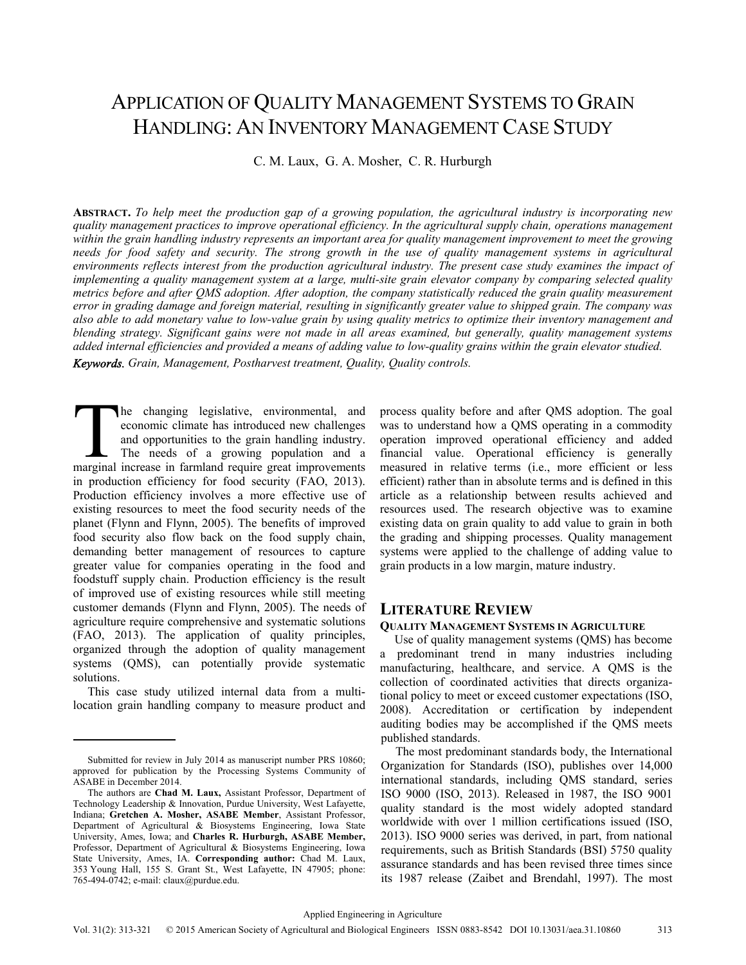# APPLICATION OF QUALITY MANAGEMENT SYSTEMS TO GRAIN HANDLING: AN INVENTORY MANAGEMENT CASE STUDY

C. M. Laux, G. A. Mosher, C. R. Hurburgh

**ABSTRACT.** *To help meet the production gap of a growing population, the agricultural industry is incorporating new quality management practices to improve operational efficiency. In the agricultural supply chain, operations management within the grain handling industry represents an important area for quality management improvement to meet the growing needs for food safety and security. The strong growth in the use of quality management systems in agricultural environments reflects interest from the production agricultural industry. The present case study examines the impact of implementing a quality management system at a large, multi-site grain elevator company by comparing selected quality metrics before and after QMS adoption. After adoption, the company statistically reduced the grain quality measurement error in grading damage and foreign material, resulting in significantly greater value to shipped grain. The company was also able to add monetary value to low-value grain by using quality metrics to optimize their inventory management and blending strategy. Significant gains were not made in all areas examined, but generally, quality management systems added internal efficiencies and provided a means of adding value to low-quality grains within the grain elevator studied.* 

*Keywords. Grain, Management, Postharvest treatment, Quality, Quality controls.* 

he changing legislative, environmental, and economic climate has introduced new challenges and opportunities to the grain handling industry. The needs of a growing population and a The changing legislative, environmental, and economic climate has introduced new challenges and opportunities to the grain handling industry.<br>The needs of a growing population and a marginal increase in farmland require gr in production efficiency for food security (FAO, 2013). Production efficiency involves a more effective use of existing resources to meet the food security needs of the planet (Flynn and Flynn, 2005). The benefits of improved food security also flow back on the food supply chain, demanding better management of resources to capture greater value for companies operating in the food and foodstuff supply chain. Production efficiency is the result of improved use of existing resources while still meeting customer demands (Flynn and Flynn, 2005). The needs of agriculture require comprehensive and systematic solutions (FAO, 2013). The application of quality principles, organized through the adoption of quality management systems (QMS), can potentially provide systematic solutions.

This case study utilized internal data from a multilocation grain handling company to measure product and process quality before and after QMS adoption. The goal was to understand how a QMS operating in a commodity operation improved operational efficiency and added financial value. Operational efficiency is generally measured in relative terms (i.e., more efficient or less efficient) rather than in absolute terms and is defined in this article as a relationship between results achieved and resources used. The research objective was to examine existing data on grain quality to add value to grain in both the grading and shipping processes. Quality management systems were applied to the challenge of adding value to grain products in a low margin, mature industry.

# **LITERATURE REVIEW**

### **QUALITY MANAGEMENT SYSTEMS IN AGRICULTURE**

Use of quality management systems (QMS) has become a predominant trend in many industries including manufacturing, healthcare, and service. A QMS is the collection of coordinated activities that directs organizational policy to meet or exceed customer expectations (ISO, 2008). Accreditation or certification by independent auditing bodies may be accomplished if the QMS meets published standards.

The most predominant standards body, the International Organization for Standards (ISO), publishes over 14,000 international standards, including QMS standard, series ISO 9000 (ISO, 2013). Released in 1987, the ISO 9001 quality standard is the most widely adopted standard worldwide with over 1 million certifications issued (ISO, 2013). ISO 9000 series was derived, in part, from national requirements, such as British Standards (BSI) 5750 quality assurance standards and has been revised three times since its 1987 release (Zaibet and Brendahl, 1997). The most

Submitted for review in July 2014 as manuscript number PRS 10860; approved for publication by the Processing Systems Community of ASABE in December 2014.

The authors are **Chad M. Laux,** Assistant Professor, Department of Technology Leadership & Innovation, Purdue University, West Lafayette, Indiana; **Gretchen A. Mosher, ASABE Member**, Assistant Professor, Department of Agricultural & Biosystems Engineering, Iowa State University, Ames, Iowa; and **Charles R. Hurburgh, ASABE Member,** Professor, Department of Agricultural & Biosystems Engineering, Iowa State University, Ames, IA. **Corresponding author:** Chad M. Laux, 353 Young Hall, 155 S. Grant St., West Lafayette, IN 47905; phone: 765-494-0742; e-mail: claux@purdue.edu.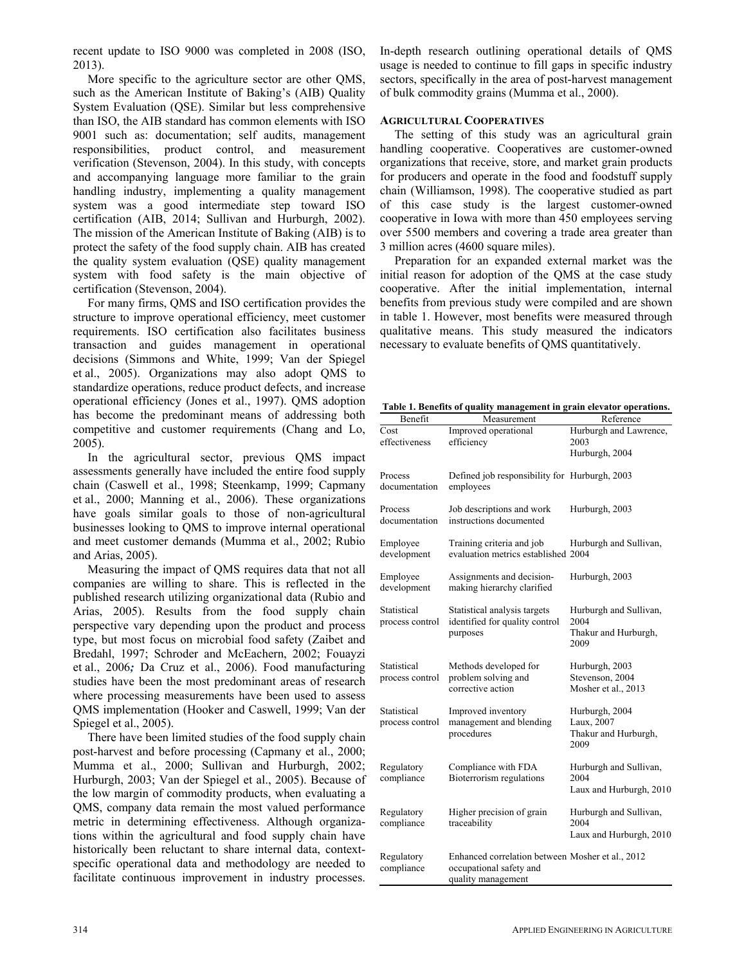recent update to ISO 9000 was completed in 2008 (ISO, 2013).

More specific to the agriculture sector are other QMS, such as the American Institute of Baking's (AIB) Quality System Evaluation (QSE). Similar but less comprehensive than ISO, the AIB standard has common elements with ISO 9001 such as: documentation; self audits, management responsibilities, product control, and measurement verification (Stevenson, 2004). In this study, with concepts and accompanying language more familiar to the grain handling industry, implementing a quality management system was a good intermediate step toward ISO certification (AIB, 2014; Sullivan and Hurburgh, 2002). The mission of the American Institute of Baking (AIB) is to protect the safety of the food supply chain. AIB has created the quality system evaluation (QSE) quality management system with food safety is the main objective of certification (Stevenson, 2004).

For many firms, QMS and ISO certification provides the structure to improve operational efficiency, meet customer requirements. ISO certification also facilitates business transaction and guides management in operational decisions (Simmons and White, 1999; Van der Spiegel et al., 2005). Organizations may also adopt QMS to standardize operations, reduce product defects, and increase operational efficiency (Jones et al., 1997). QMS adoption has become the predominant means of addressing both competitive and customer requirements (Chang and Lo, 2005).

In the agricultural sector, previous QMS impact assessments generally have included the entire food supply chain (Caswell et al., 1998; Steenkamp, 1999; Capmany et al., 2000; Manning et al., 2006). These organizations have goals similar goals to those of non-agricultural businesses looking to QMS to improve internal operational and meet customer demands (Mumma et al., 2002; Rubio and Arias, 2005).

Measuring the impact of QMS requires data that not all companies are willing to share. This is reflected in the published research utilizing organizational data (Rubio and Arias, 2005). Results from the food supply chain perspective vary depending upon the product and process type, but most focus on microbial food safety (Zaibet and Bredahl, 1997; Schroder and McEachern, 2002; Fouayzi et al., 2006*;* Da Cruz et al., 2006). Food manufacturing studies have been the most predominant areas of research where processing measurements have been used to assess QMS implementation (Hooker and Caswell, 1999; Van der Spiegel et al., 2005).

There have been limited studies of the food supply chain post-harvest and before processing (Capmany et al., 2000; Mumma et al., 2000; Sullivan and Hurburgh, 2002; Hurburgh, 2003; Van der Spiegel et al., 2005). Because of the low margin of commodity products, when evaluating a QMS, company data remain the most valued performance metric in determining effectiveness. Although organizations within the agricultural and food supply chain have historically been reluctant to share internal data, contextspecific operational data and methodology are needed to facilitate continuous improvement in industry processes.

In-depth research outlining operational details of QMS usage is needed to continue to fill gaps in specific industry sectors, specifically in the area of post-harvest management of bulk commodity grains (Mumma et al., 2000).

### **AGRICULTURAL COOPERATIVES**

The setting of this study was an agricultural grain handling cooperative. Cooperatives are customer-owned organizations that receive, store, and market grain products for producers and operate in the food and foodstuff supply chain (Williamson, 1998). The cooperative studied as part of this case study is the largest customer-owned cooperative in Iowa with more than 450 employees serving over 5500 members and covering a trade area greater than 3 million acres (4600 square miles).

Preparation for an expanded external market was the initial reason for adoption of the QMS at the case study cooperative. After the initial implementation, internal benefits from previous study were compiled and are shown in table 1. However, most benefits were measured through qualitative means. This study measured the indicators necessary to evaluate benefits of QMS quantitatively.

**Table 1. Benefits of quality management in grain elevator operations.**

| Benefit         | Measurement                                      | Reference                    |
|-----------------|--------------------------------------------------|------------------------------|
| Cost            | Improved operational                             | Hurburgh and Lawrence,       |
| effectiveness   | efficiency                                       | 2003                         |
|                 |                                                  | Hurburgh, 2004               |
|                 |                                                  |                              |
| Process         | Defined job responsibility for Hurburgh, 2003    |                              |
| documentation   | employees                                        |                              |
|                 |                                                  |                              |
| Process         | Job descriptions and work                        | Hurburgh, 2003               |
| documentation   | instructions documented                          |                              |
|                 |                                                  |                              |
| Employee        | Training criteria and job                        | Hurburgh and Sullivan,       |
| development     | evaluation metrics established 2004              |                              |
| Employee        | Assignments and decision-                        | Hurburgh, 2003               |
| development     | making hierarchy clarified                       |                              |
|                 |                                                  |                              |
| Statistical     | Statistical analysis targets                     | Hurburgh and Sullivan,       |
| process control | identified for quality control                   | 2004                         |
|                 | purposes                                         | Thakur and Hurburgh,         |
|                 |                                                  | 2009                         |
|                 |                                                  |                              |
| Statistical     | Methods developed for                            | Hurburgh, 2003               |
| process control | problem solving and                              | Stevenson, 2004              |
|                 | corrective action                                | Mosher et al., 2013          |
| Statistical     | Improved inventory                               |                              |
| process control | management and blending                          | Hurburgh, 2004<br>Laux, 2007 |
|                 | procedures                                       | Thakur and Hurburgh,         |
|                 |                                                  | 2009                         |
|                 |                                                  |                              |
| Regulatory      | Compliance with FDA                              | Hurburgh and Sullivan,       |
| compliance      | Bioterrorism regulations                         | 2004                         |
|                 |                                                  | Laux and Hurburgh, 2010      |
|                 |                                                  |                              |
| Regulatory      | Higher precision of grain                        | Hurburgh and Sullivan,       |
| compliance      | traceability                                     | 2004                         |
|                 |                                                  | Laux and Hurburgh, 2010      |
|                 |                                                  |                              |
| Regulatory      | Enhanced correlation between Mosher et al., 2012 |                              |
| compliance      | occupational safety and                          |                              |
|                 | quality management                               |                              |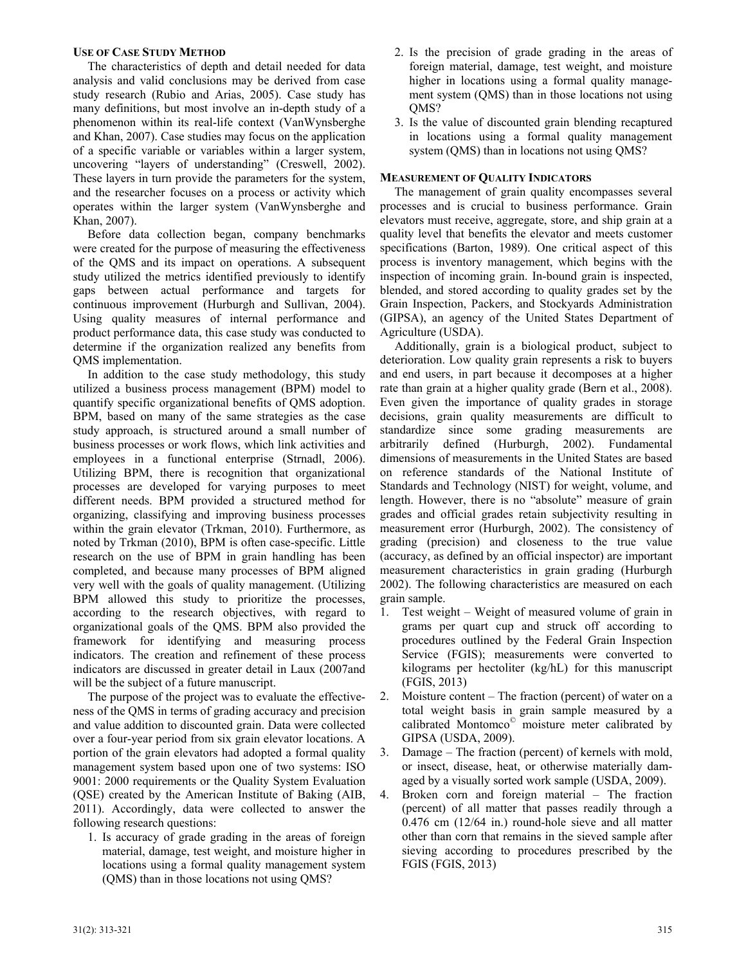#### **USE OF CASE STUDY METHOD**

The characteristics of depth and detail needed for data analysis and valid conclusions may be derived from case study research (Rubio and Arias, 2005). Case study has many definitions, but most involve an in-depth study of a phenomenon within its real-life context (VanWynsberghe and Khan, 2007). Case studies may focus on the application of a specific variable or variables within a larger system, uncovering "layers of understanding" (Creswell, 2002). These layers in turn provide the parameters for the system, and the researcher focuses on a process or activity which operates within the larger system (VanWynsberghe and Khan, 2007).

Before data collection began, company benchmarks were created for the purpose of measuring the effectiveness of the QMS and its impact on operations. A subsequent study utilized the metrics identified previously to identify gaps between actual performance and targets for continuous improvement (Hurburgh and Sullivan, 2004). Using quality measures of internal performance and product performance data, this case study was conducted to determine if the organization realized any benefits from QMS implementation.

In addition to the case study methodology, this study utilized a business process management (BPM) model to quantify specific organizational benefits of QMS adoption. BPM, based on many of the same strategies as the case study approach, is structured around a small number of business processes or work flows, which link activities and employees in a functional enterprise (Strnadl, 2006). Utilizing BPM, there is recognition that organizational processes are developed for varying purposes to meet different needs. BPM provided a structured method for organizing, classifying and improving business processes within the grain elevator (Trkman, 2010). Furthermore, as noted by Trkman (2010), BPM is often case-specific. Little research on the use of BPM in grain handling has been completed, and because many processes of BPM aligned very well with the goals of quality management. (Utilizing BPM allowed this study to prioritize the processes, according to the research objectives, with regard to organizational goals of the QMS. BPM also provided the framework for identifying and measuring process indicators. The creation and refinement of these process indicators are discussed in greater detail in Laux (2007and will be the subject of a future manuscript.

The purpose of the project was to evaluate the effectiveness of the QMS in terms of grading accuracy and precision and value addition to discounted grain. Data were collected over a four-year period from six grain elevator locations. A portion of the grain elevators had adopted a formal quality management system based upon one of two systems: ISO 9001: 2000 requirements or the Quality System Evaluation (QSE) created by the American Institute of Baking (AIB, 2011). Accordingly, data were collected to answer the following research questions:

1. Is accuracy of grade grading in the areas of foreign material, damage, test weight, and moisture higher in locations using a formal quality management system (QMS) than in those locations not using QMS?

- 2. Is the precision of grade grading in the areas of foreign material, damage, test weight, and moisture higher in locations using a formal quality management system (QMS) than in those locations not using QMS?
- 3. Is the value of discounted grain blending recaptured in locations using a formal quality management system (QMS) than in locations not using QMS?

### **MEASUREMENT OF QUALITY INDICATORS**

The management of grain quality encompasses several processes and is crucial to business performance. Grain elevators must receive, aggregate, store, and ship grain at a quality level that benefits the elevator and meets customer specifications (Barton, 1989). One critical aspect of this process is inventory management, which begins with the inspection of incoming grain. In-bound grain is inspected, blended, and stored according to quality grades set by the Grain Inspection, Packers, and Stockyards Administration (GIPSA), an agency of the United States Department of Agriculture (USDA).

Additionally, grain is a biological product, subject to deterioration. Low quality grain represents a risk to buyers and end users, in part because it decomposes at a higher rate than grain at a higher quality grade (Bern et al., 2008). Even given the importance of quality grades in storage decisions, grain quality measurements are difficult to standardize since some grading measurements are arbitrarily defined (Hurburgh, 2002). Fundamental dimensions of measurements in the United States are based on reference standards of the National Institute of Standards and Technology (NIST) for weight, volume, and length. However, there is no "absolute" measure of grain grades and official grades retain subjectivity resulting in measurement error (Hurburgh, 2002). The consistency of grading (precision) and closeness to the true value (accuracy, as defined by an official inspector) are important measurement characteristics in grain grading (Hurburgh 2002). The following characteristics are measured on each grain sample.

- 1. Test weight Weight of measured volume of grain in grams per quart cup and struck off according to procedures outlined by the Federal Grain Inspection Service (FGIS); measurements were converted to kilograms per hectoliter (kg/hL) for this manuscript (FGIS, 2013)
- 2. Moisture content The fraction (percent) of water on a total weight basis in grain sample measured by a calibrated Montomco<sup>©</sup> moisture meter calibrated by GIPSA (USDA, 2009).
- 3. Damage The fraction (percent) of kernels with mold, or insect, disease, heat, or otherwise materially damaged by a visually sorted work sample (USDA, 2009).
- 4. Broken corn and foreign material The fraction (percent) of all matter that passes readily through a 0.476 cm (12/64 in.) round-hole sieve and all matter other than corn that remains in the sieved sample after sieving according to procedures prescribed by the FGIS (FGIS, 2013)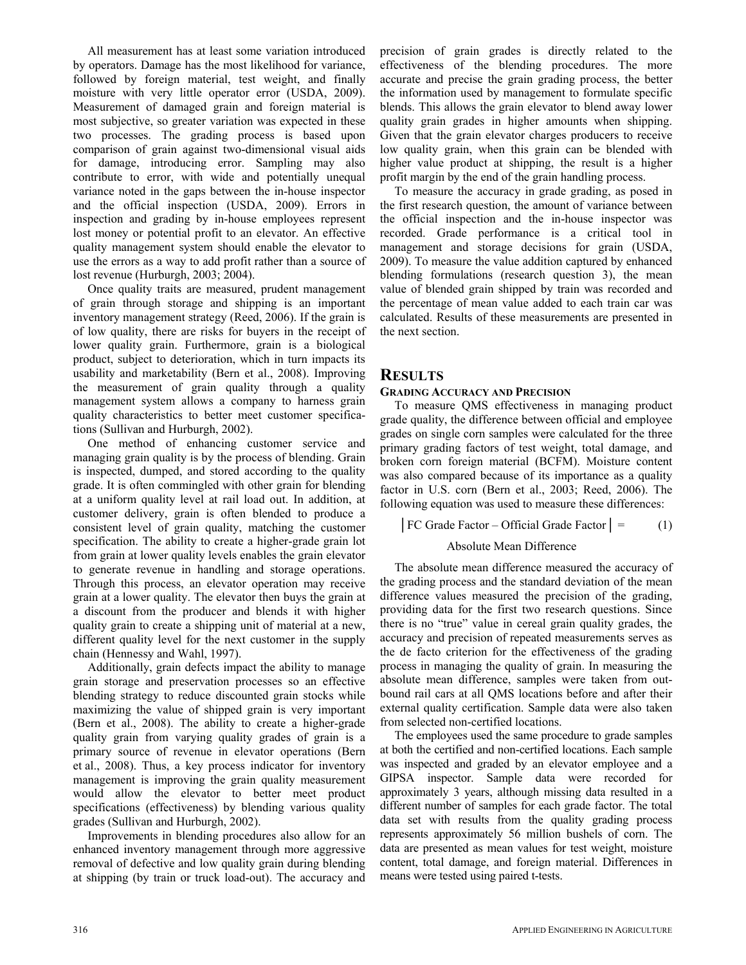All measurement has at least some variation introduced by operators. Damage has the most likelihood for variance, followed by foreign material, test weight, and finally moisture with very little operator error (USDA, 2009). Measurement of damaged grain and foreign material is most subjective, so greater variation was expected in these two processes. The grading process is based upon comparison of grain against two-dimensional visual aids for damage, introducing error. Sampling may also contribute to error, with wide and potentially unequal variance noted in the gaps between the in-house inspector and the official inspection (USDA, 2009). Errors in inspection and grading by in-house employees represent lost money or potential profit to an elevator. An effective quality management system should enable the elevator to use the errors as a way to add profit rather than a source of lost revenue (Hurburgh, 2003; 2004).

Once quality traits are measured, prudent management of grain through storage and shipping is an important inventory management strategy (Reed, 2006). If the grain is of low quality, there are risks for buyers in the receipt of lower quality grain. Furthermore, grain is a biological product, subject to deterioration, which in turn impacts its usability and marketability (Bern et al., 2008). Improving the measurement of grain quality through a quality management system allows a company to harness grain quality characteristics to better meet customer specifications (Sullivan and Hurburgh, 2002).

One method of enhancing customer service and managing grain quality is by the process of blending. Grain is inspected, dumped, and stored according to the quality grade. It is often commingled with other grain for blending at a uniform quality level at rail load out. In addition, at customer delivery, grain is often blended to produce a consistent level of grain quality, matching the customer specification. The ability to create a higher-grade grain lot from grain at lower quality levels enables the grain elevator to generate revenue in handling and storage operations. Through this process, an elevator operation may receive grain at a lower quality. The elevator then buys the grain at a discount from the producer and blends it with higher quality grain to create a shipping unit of material at a new, different quality level for the next customer in the supply chain (Hennessy and Wahl, 1997).

Additionally, grain defects impact the ability to manage grain storage and preservation processes so an effective blending strategy to reduce discounted grain stocks while maximizing the value of shipped grain is very important (Bern et al., 2008). The ability to create a higher-grade quality grain from varying quality grades of grain is a primary source of revenue in elevator operations (Bern et al., 2008). Thus, a key process indicator for inventory management is improving the grain quality measurement would allow the elevator to better meet product specifications (effectiveness) by blending various quality grades (Sullivan and Hurburgh, 2002).

Improvements in blending procedures also allow for an enhanced inventory management through more aggressive removal of defective and low quality grain during blending at shipping (by train or truck load-out). The accuracy and precision of grain grades is directly related to the effectiveness of the blending procedures. The more accurate and precise the grain grading process, the better the information used by management to formulate specific blends. This allows the grain elevator to blend away lower quality grain grades in higher amounts when shipping. Given that the grain elevator charges producers to receive low quality grain, when this grain can be blended with higher value product at shipping, the result is a higher profit margin by the end of the grain handling process.

To measure the accuracy in grade grading, as posed in the first research question, the amount of variance between the official inspection and the in-house inspector was recorded. Grade performance is a critical tool in management and storage decisions for grain (USDA, 2009). To measure the value addition captured by enhanced blending formulations (research question 3), the mean value of blended grain shipped by train was recorded and the percentage of mean value added to each train car was calculated. Results of these measurements are presented in the next section.

# **RESULTS**

### **GRADING ACCURACY AND PRECISION**

To measure QMS effectiveness in managing product grade quality, the difference between official and employee grades on single corn samples were calculated for the three primary grading factors of test weight, total damage, and broken corn foreign material (BCFM). Moisture content was also compared because of its importance as a quality factor in U.S. corn (Bern et al., 2003; Reed, 2006). The following equation was used to measure these differences:

 $\begin{bmatrix} \text{FC Grade Factor} - \text{Official Grade Factor} \end{bmatrix} = (1)$ 

## Absolute Mean Difference

The absolute mean difference measured the accuracy of the grading process and the standard deviation of the mean difference values measured the precision of the grading, providing data for the first two research questions. Since there is no "true" value in cereal grain quality grades, the accuracy and precision of repeated measurements serves as the de facto criterion for the effectiveness of the grading process in managing the quality of grain. In measuring the absolute mean difference, samples were taken from outbound rail cars at all QMS locations before and after their external quality certification. Sample data were also taken from selected non-certified locations.

The employees used the same procedure to grade samples at both the certified and non-certified locations. Each sample was inspected and graded by an elevator employee and a GIPSA inspector. Sample data were recorded for approximately 3 years, although missing data resulted in a different number of samples for each grade factor. The total data set with results from the quality grading process represents approximately 56 million bushels of corn. The data are presented as mean values for test weight, moisture content, total damage, and foreign material. Differences in means were tested using paired t-tests.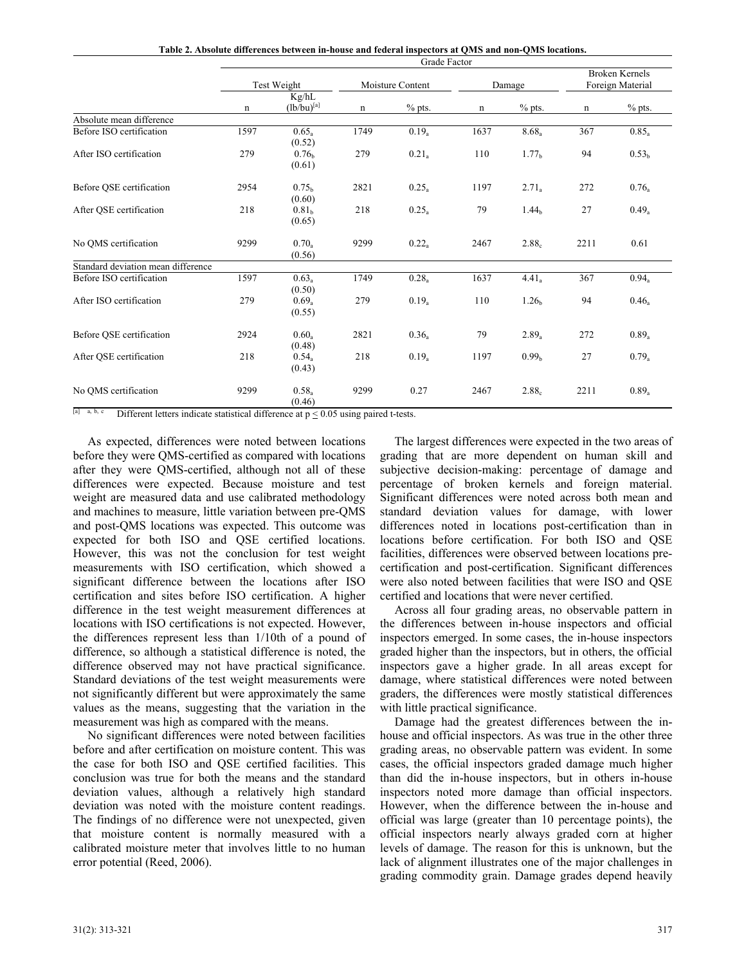| Table 2. Absolute differences between in-house and federal inspectors at QMS and non-QMS locations. |  |  |  |  |  |  |  |  |  |
|-----------------------------------------------------------------------------------------------------|--|--|--|--|--|--|--|--|--|
|-----------------------------------------------------------------------------------------------------|--|--|--|--|--|--|--|--|--|

|                                    | Grade Factor |                             |                  |                   |        |                   |                                           |                   |
|------------------------------------|--------------|-----------------------------|------------------|-------------------|--------|-------------------|-------------------------------------------|-------------------|
|                                    | Test Weight  |                             | Moisture Content |                   | Damage |                   | <b>Broken Kernels</b><br>Foreign Material |                   |
|                                    | n            | Kg/hL<br>$(lb/bu)^{[a]}$    | n                | $%$ pts.          | n      | $%$ pts.          | n                                         | $%$ pts.          |
| Absolute mean difference           |              |                             |                  |                   |        |                   |                                           |                   |
| Before ISO certification           | 1597         | 0.65<br>(0.52)              | 1749             | $0.19_a$          | 1637   | $8.68_a$          | 367                                       | $0.85_a$          |
| After ISO certification            | 279          | 0.76 <sub>b</sub><br>(0.61) | 279              | $0.21_a$          | 110    | 1.77 <sub>b</sub> | 94                                        | 0.53 <sub>b</sub> |
| Before OSE certification           | 2954         | 0.75 <sub>b</sub><br>(0.60) | 2821             | $0.25_a$          | 1197   | $2.71_a$          | 272                                       | 0.76a             |
| After QSE certification            | 218          | 0.81 <sub>b</sub><br>(0.65) | 218              | $0.25_a$          | 79     | 1.44 <sub>b</sub> | 27                                        | $0.49_a$          |
| No OMS certification               | 9299         | $0.70_a$<br>(0.56)          | 9299             | $0.22_a$          | 2467   | $2.88_c$          | 2211                                      | 0.61              |
| Standard deviation mean difference |              |                             |                  |                   |        |                   |                                           |                   |
| Before ISO certification           | 1597         | $0.63_a$<br>(0.50)          | 1749             | $0.28_a$          | 1637   | 4.41 <sub>a</sub> | 367                                       | $0.94_a$          |
| After ISO certification            | 279          | $0.69_a$<br>(0.55)          | 279              | 0.19 <sub>a</sub> | 110    | 1.26 <sub>b</sub> | 94                                        | 0.46a             |
| Before OSE certification           | 2924         | $0.60_a$<br>(0.48)          | 2821             | $0.36_a$          | 79     | $2.89_a$          | 272                                       | $0.89_a$          |
| After OSE certification            | 218          | $0.54_a$<br>(0.43)          | 218              | $0.19_a$          | 1197   | 0.99 <sub>b</sub> | 27                                        | $0.79_a$          |
| No OMS certification               | 9299         | $0.58_a$<br>(0.46)          | 9299             | 0.27              | 2467   | 2.88 <sub>c</sub> | 2211                                      | $0.89_a$          |

[a] a, b, c Different letters indicate statistical difference at  $p \le 0.05$  using paired t-tests.

As expected, differences were noted between locations before they were QMS-certified as compared with locations after they were QMS-certified, although not all of these differences were expected. Because moisture and test weight are measured data and use calibrated methodology and machines to measure, little variation between pre-QMS and post-QMS locations was expected. This outcome was expected for both ISO and QSE certified locations. However, this was not the conclusion for test weight measurements with ISO certification, which showed a significant difference between the locations after ISO certification and sites before ISO certification. A higher difference in the test weight measurement differences at locations with ISO certifications is not expected. However, the differences represent less than 1/10th of a pound of difference, so although a statistical difference is noted, the difference observed may not have practical significance. Standard deviations of the test weight measurements were not significantly different but were approximately the same values as the means, suggesting that the variation in the measurement was high as compared with the means.

No significant differences were noted between facilities before and after certification on moisture content. This was the case for both ISO and QSE certified facilities. This conclusion was true for both the means and the standard deviation values, although a relatively high standard deviation was noted with the moisture content readings. The findings of no difference were not unexpected, given that moisture content is normally measured with a calibrated moisture meter that involves little to no human error potential (Reed, 2006).

The largest differences were expected in the two areas of grading that are more dependent on human skill and subjective decision-making: percentage of damage and percentage of broken kernels and foreign material. Significant differences were noted across both mean and standard deviation values for damage, with lower differences noted in locations post-certification than in locations before certification. For both ISO and QSE facilities, differences were observed between locations precertification and post-certification. Significant differences were also noted between facilities that were ISO and QSE certified and locations that were never certified.

Across all four grading areas, no observable pattern in the differences between in-house inspectors and official inspectors emerged. In some cases, the in-house inspectors graded higher than the inspectors, but in others, the official inspectors gave a higher grade. In all areas except for damage, where statistical differences were noted between graders, the differences were mostly statistical differences with little practical significance.

Damage had the greatest differences between the inhouse and official inspectors. As was true in the other three grading areas, no observable pattern was evident. In some cases, the official inspectors graded damage much higher than did the in-house inspectors, but in others in-house inspectors noted more damage than official inspectors. However, when the difference between the in-house and official was large (greater than 10 percentage points), the official inspectors nearly always graded corn at higher levels of damage. The reason for this is unknown, but the lack of alignment illustrates one of the major challenges in grading commodity grain. Damage grades depend heavily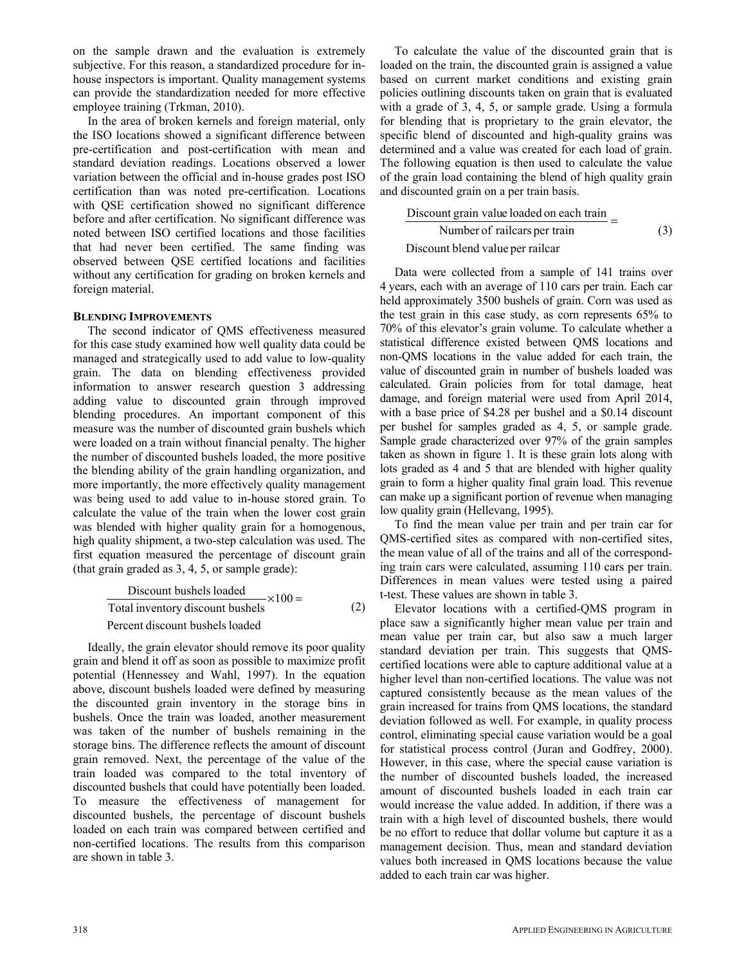on the sample drawn and the evaluation is extremely subjective. For this reason, a standardized procedure for inhouse inspectors is important. Quality management systems can provide the standardization needed for more effective employee training (Trkman, 2010).

In the area of broken kernels and foreign material, only the ISO locations showed a significant difference between pre-certification and post-certification with mean and standard deviation readings. Locations observed a lower variation between the official and in-house grades post ISO certification than was noted pre-certification. Locations with QSE certification showed no significant difference before and after certification. No significant difference was noted between ISO certified locations and those facilities that had never been certified. The same finding was observed between QSE certified locations and facilities without any certification for grading on broken kernels and foreign material.

#### **BLENDING IMPROVEMENTS**

The second indicator of QMS effectiveness measured for this case study examined how well quality data could be managed and strategically used to add value to low-quality grain. The data on blending effectiveness provided information to answer research question 3 addressing adding value to discounted grain through improved blending procedures. An important component of this measure was the number of discounted grain bushels which were loaded on a train without financial penalty. The higher the number of discounted bushels loaded, the more positive the blending ability of the grain handling organization, and more importantly, the more effectively quality management was being used to add value to in-house stored grain. To calculate the value of the train when the lower cost grain was blended with higher quality grain for a homogenous, high quality shipment, a two-step calculation was used. The first equation measured the percentage of discount grain (that grain graded as 3, 4, 5, or sample grade):

$$
Discount bushels loaded
$$
\n
$$
Total inventory discount bushels
$$
\n
$$
Percent discount bushels loaded
$$
\n(2)

Ideally, the grain elevator should remove its poor quality grain and blend it off as soon as possible to maximize profit potential (Hennessey and Wahl, 1997). In the equation above, discount bushels loaded were defined by measuring the discounted grain inventory in the storage bins in bushels. Once the train was loaded, another measurement was taken of the number of bushels remaining in the storage bins. The difference reflects the amount of discount grain removed. Next, the percentage of the value of the train loaded was compared to the total inventory of discounted bushels that could have potentially been loaded. To measure the effectiveness of management for discounted bushels, the percentage of discount bushels loaded on each train was compared between certified and non-certified locations. The results from this comparison are shown in table 3.

To calculate the value of the discounted grain that is loaded on the train, the discounted grain is assigned a value based on current market conditions and existing grain policies outlining discounts taken on grain that is evaluated with a grade of 3, 4, 5, or sample grade. Using a formula for blending that is proprietary to the grain elevator, the specific blend of discounted and high-quality grains was determined and a value was created for each load of grain. The following equation is then used to calculate the value of the grain load containing the blend of high quality grain and discounted grain on a per train basis.

$$
\frac{\text{Discount grain value loaded on each train}}{\text{Number of railcars per train}} = (3)
$$

#### Discount blend value per railcar

Data were collected from a sample of 141 trains over 4 years, each with an average of 110 cars per train. Each car held approximately 3500 bushels of grain. Corn was used as the test grain in this case study, as corn represents 65% to 70% of this elevator's grain volume. To calculate whether a statistical difference existed between QMS locations and non-QMS locations in the value added for each train, the value of discounted grain in number of bushels loaded was calculated. Grain policies from for total damage, heat damage, and foreign material were used from April 2014, with a base price of \$4.28 per bushel and a \$0.14 discount per bushel for samples graded as 4, 5, or sample grade. Sample grade characterized over 97% of the grain samples taken as shown in figure 1. It is these grain lots along with lots graded as 4 and 5 that are blended with higher quality grain to form a higher quality final grain load. This revenue can make up a significant portion of revenue when managing low quality grain (Hellevang, 1995).

To find the mean value per train and per train car for QMS-certified sites as compared with non-certified sites, the mean value of all of the trains and all of the corresponding train cars were calculated, assuming 110 cars per train. Differences in mean values were tested using a paired t-test. These values are shown in table 3.

Elevator locations with a certified-QMS program in place saw a significantly higher mean value per train and mean value per train car, but also saw a much larger standard deviation per train. This suggests that QMScertified locations were able to capture additional value at a higher level than non-certified locations. The value was not captured consistently because as the mean values of the grain increased for trains from QMS locations, the standard deviation followed as well. For example, in quality process control, eliminating special cause variation would be a goal for statistical process control (Juran and Godfrey, 2000). However, in this case, where the special cause variation is the number of discounted bushels loaded, the increased amount of discounted bushels loaded in each train car would increase the value added. In addition, if there was a train with a high level of discounted bushels, there would be no effort to reduce that dollar volume but capture it as a management decision. Thus, mean and standard deviation values both increased in QMS locations because the value added to each train car was higher.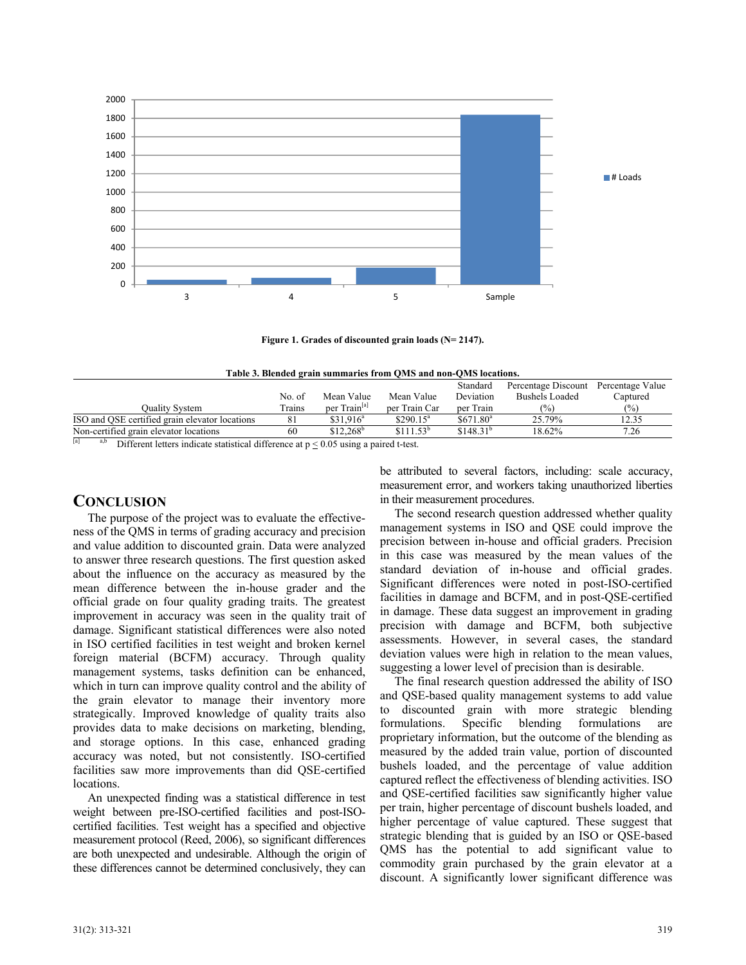

**Figure 1. Grades of discounted grain loads (N= 2147).** 

| Table 3. Blended grain summaries from QMS and non-QMS locations. |  |
|------------------------------------------------------------------|--|
|------------------------------------------------------------------|--|

|                                                                                |        |                          |                       | Standard              | Percentage Discount   | Percentage Value |
|--------------------------------------------------------------------------------|--------|--------------------------|-----------------------|-----------------------|-----------------------|------------------|
|                                                                                | No. of | Mean Value               | Mean Value            | Deviation             | <b>Bushels Loaded</b> | ⊡aptured         |
| Ouality System                                                                 | Trains | per Train <sup>[a]</sup> | per Train Car         | per Train             | $\frac{1}{2}$         | (%)              |
| ISO and OSE certified grain elevator locations                                 | 81     | \$31.916 <sup>a</sup>    | $$290.15^a$           | \$671.80 <sup>a</sup> | 25.79%                | 12.35            |
| Non-certified grain elevator locations                                         | 60     | $$12.268^b$              | \$111.53 <sup>b</sup> | \$148.31 <sup>b</sup> | 18.62%                | 7.26             |
| $\mathbf{E}$<br><b>CONTRACT AND ARRAIGNMENT OF A STOCK.</b><br>$\sim$ 1 $\sim$ |        | $\cdot$ $\wedge$ $\sim$  |                       |                       |                       |                  |

Different letters indicate statistical difference at  $p < 0.05$  using a paired t-test.

## **CONCLUSION**

The purpose of the project was to evaluate the effectiveness of the QMS in terms of grading accuracy and precision and value addition to discounted grain. Data were analyzed to answer three research questions. The first question asked about the influence on the accuracy as measured by the mean difference between the in-house grader and the official grade on four quality grading traits. The greatest improvement in accuracy was seen in the quality trait of damage. Significant statistical differences were also noted in ISO certified facilities in test weight and broken kernel foreign material (BCFM) accuracy. Through quality management systems, tasks definition can be enhanced, which in turn can improve quality control and the ability of the grain elevator to manage their inventory more strategically. Improved knowledge of quality traits also provides data to make decisions on marketing, blending, and storage options. In this case, enhanced grading accuracy was noted, but not consistently. ISO-certified facilities saw more improvements than did QSE-certified locations.

An unexpected finding was a statistical difference in test weight between pre-ISO-certified facilities and post-ISOcertified facilities. Test weight has a specified and objective measurement protocol (Reed, 2006), so significant differences are both unexpected and undesirable. Although the origin of these differences cannot be determined conclusively, they can be attributed to several factors, including: scale accuracy, measurement error, and workers taking unauthorized liberties in their measurement procedures.

The second research question addressed whether quality management systems in ISO and QSE could improve the precision between in-house and official graders. Precision in this case was measured by the mean values of the standard deviation of in-house and official grades. Significant differences were noted in post-ISO-certified facilities in damage and BCFM, and in post-QSE-certified in damage. These data suggest an improvement in grading precision with damage and BCFM, both subjective assessments. However, in several cases, the standard deviation values were high in relation to the mean values, suggesting a lower level of precision than is desirable.

The final research question addressed the ability of ISO and QSE-based quality management systems to add value to discounted grain with more strategic blending formulations. Specific blending formulations are proprietary information, but the outcome of the blending as measured by the added train value, portion of discounted bushels loaded, and the percentage of value addition captured reflect the effectiveness of blending activities. ISO and QSE-certified facilities saw significantly higher value per train, higher percentage of discount bushels loaded, and higher percentage of value captured. These suggest that strategic blending that is guided by an ISO or QSE-based QMS has the potential to add significant value to commodity grain purchased by the grain elevator at a discount. A significantly lower significant difference was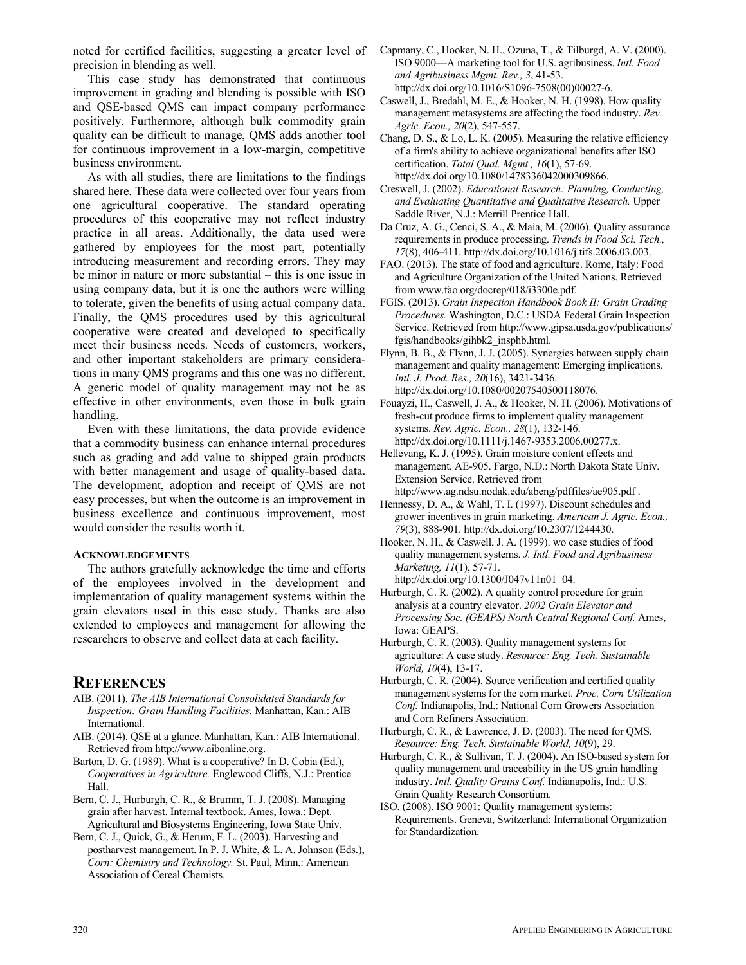noted for certified facilities, suggesting a greater level of precision in blending as well.

This case study has demonstrated that continuous improvement in grading and blending is possible with ISO and QSE-based QMS can impact company performance positively. Furthermore, although bulk commodity grain quality can be difficult to manage, QMS adds another tool for continuous improvement in a low-margin, competitive business environment.

As with all studies, there are limitations to the findings shared here. These data were collected over four years from one agricultural cooperative. The standard operating procedures of this cooperative may not reflect industry practice in all areas. Additionally, the data used were gathered by employees for the most part, potentially introducing measurement and recording errors. They may be minor in nature or more substantial – this is one issue in using company data, but it is one the authors were willing to tolerate, given the benefits of using actual company data. Finally, the QMS procedures used by this agricultural cooperative were created and developed to specifically meet their business needs. Needs of customers, workers, and other important stakeholders are primary considerations in many QMS programs and this one was no different. A generic model of quality management may not be as effective in other environments, even those in bulk grain handling.

Even with these limitations, the data provide evidence that a commodity business can enhance internal procedures such as grading and add value to shipped grain products with better management and usage of quality-based data. The development, adoption and receipt of QMS are not easy processes, but when the outcome is an improvement in business excellence and continuous improvement, most would consider the results worth it.

#### **ACKNOWLEDGEMENTS**

The authors gratefully acknowledge the time and efforts of the employees involved in the development and implementation of quality management systems within the grain elevators used in this case study. Thanks are also extended to employees and management for allowing the researchers to observe and collect data at each facility.

## **REFERENCES**

- AIB. (2011). *The AIB International Consolidated Standards for Inspection: Grain Handling Facilities.* Manhattan, Kan.: AIB International.
- AIB. (2014). QSE at a glance. Manhattan, Kan.: AIB International. Retrieved from http://www.aibonline.org.
- Barton, D. G. (1989). What is a cooperative? In D. Cobia (Ed.), *Cooperatives in Agriculture.* Englewood Cliffs, N.J.: Prentice Hall.
- Bern, C. J., Hurburgh, C. R., & Brumm, T. J. (2008). Managing grain after harvest. Internal textbook. Ames, Iowa.: Dept. Agricultural and Biosystems Engineering, Iowa State Univ.
- Bern, C. J., Quick, G., & Herum, F. L. (2003). Harvesting and postharvest management. In P. J. White, & L. A. Johnson (Eds.), *Corn: Chemistry and Technology.* St. Paul, Minn.: American Association of Cereal Chemists.
- Capmany, C., Hooker, N. H., Ozuna, T., & Tilburgd, A. V. (2000). ISO 9000—A marketing tool for U.S. agribusiness. *Intl. Food and Agribusiness Mgmt. Rev., 3*, 41-53. [http://dx.doi.org/10.1016/S1096-7508\(00\)00027-6.](http://dx.doi.org/10.1016/S1096-7508(00)00027-6)
- Caswell, J., Bredahl, M. E., & Hooker, N. H. (1998). How quality management metasystems are affecting the food industry. *Rev. Agric. Econ., 20*(2), 547-557.
- Chang, D. S.,  $\&$  Lo, L. K. (2005). Measuring the relative efficiency of a firm's ability to achieve organizational benefits after ISO certification. *Total Qual. Mgmt., 16*(1), 57-69. http://dx.doi.org/10.1080/1478336042000309866.
- Creswell, J. (2002). *Educational Research: Planning, Conducting, and Evaluating Quantitative and Qualitative Research.* Upper Saddle River, N.J.: Merrill Prentice Hall.
- Da Cruz, A. G., Cenci, S. A., & Maia, M. (2006). Quality assurance requirements in produce processing. *Trends in Food Sci. Tech., 17*(8), 406-411. http://dx.doi.org/10.1016/j.tifs.2006.03.003.
- FAO. (2013). The state of food and agriculture. Rome, Italy: Food and Agriculture Organization of the United Nations. Retrieved from www.fao.org/docrep/018/i3300e.pdf.
- FGIS. (2013). *Grain Inspection Handbook Book II: Grain Grading Procedures.* Washington, D.C.: USDA Federal Grain Inspection [Service. Retrieved from http://www.gipsa.usda.gov/publications/](http://www.gipsa.usda.gov/publications/fgis/handbooks/gihbk2_insphb.html)  fgis/handbooks/gihbk2\_insphb.html.
- Flynn, B. B., & Flynn, J. J. (2005). Synergies between supply chain management and quality management: Emerging implications. *Intl. J. Prod. Res., 20*(16), 3421-3436. http://dx.doi.org/10.1080/00207540500118076.
- Fouayzi, H., Caswell, J. A., & Hooker, N. H. (2006). Motivations of fresh-cut produce firms to implement quality management systems. *Rev. Agric. Econ., 28*(1), 132-146. http://dx.doi.org/10.1111/j.1467-9353.2006.00277.x.
- Hellevang, K. J. (1995). Grain moisture content effects and management. AE-905. Fargo, N.D.: North Dakota State Univ. Extension Service. Retrieved from http://www.ag.ndsu.nodak.edu/abeng/pdffiles/ae905.pdf .
- Hennessy, D. A., & Wahl, T. I. (1997). Discount schedules and grower incentives in grain marketing. *American J. Agric. Econ., 79*(3), 888-901. http://dx.doi.org/10.2307/1244430.
- Hooker, N. H., & Caswell, J. A. (1999). wo case studies of food quality management systems. *J. Intl. Food and Agribusiness Marketing, 11*(1), 57-71. http://dx.doi.org/10.1300/J047v11n01\_04.
- Hurburgh, C. R. (2002). A quality control procedure for grain analysis at a country elevator. *2002 Grain Elevator and Processing Soc. (GEAPS) North Central Regional Conf.* Ames, Iowa: GEAPS.
- Hurburgh, C. R. (2003). Quality management systems for agriculture: A case study. *Resource: Eng. Tech. Sustainable World, 10*(4), 13-17.
- Hurburgh, C. R. (2004). Source verification and certified quality management systems for the corn market. *Proc. Corn Utilization Conf.* Indianapolis, Ind.: National Corn Growers Association and Corn Refiners Association.
- Hurburgh, C. R., & Lawrence, J. D. (2003). The need for QMS. *Resource: Eng. Tech. Sustainable World, 10*(9), 29.
- Hurburgh, C. R., & Sullivan, T. J. (2004). An ISO-based system for quality management and traceability in the US grain handling industry. *Intl. Quality Grains Conf.* Indianapolis, Ind.: U.S. Grain Quality Research Consortium.
- ISO. (2008). ISO 9001: Quality management systems: Requirements. Geneva, Switzerland: International Organization for Standardization.